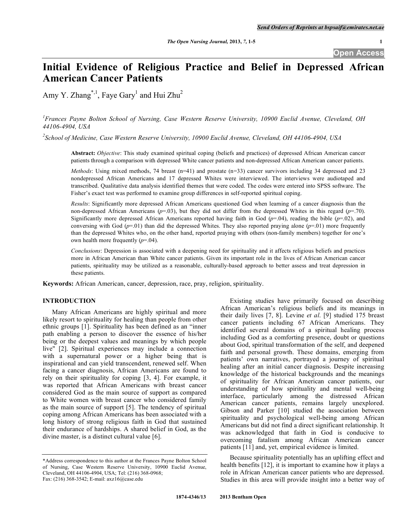# **Initial Evidence of Religious Practice and Belief in Depressed African American Cancer Patients**

Amy Y. Zhang<sup>\*,1</sup>, Faye Gary<sup>1</sup> and Hui Zhu<sup>2</sup>

*1 Frances Payne Bolton School of Nursing, Case Western Reserve University, 10900 Euclid Avenue, Cleveland, OH 44106-4904, USA* 

*2 School of Medicine, Case Western Reserve University, 10900 Euclid Avenue, Cleveland, OH 44106-4904, USA* 

**Abstract:** *Objective*: This study examined spiritual coping (beliefs and practices) of depressed African American cancer patients through a comparison with depressed White cancer patients and non-depressed African American cancer patients.

*Methods*: Using mixed methods, 74 breast (n=41) and prostate (n=33) cancer survivors including 34 depressed and 23 nondepressed African Americans and 17 depressed Whites were interviewed. The interviews were audiotaped and transcribed. Qualitative data analysis identified themes that were coded. The codes were entered into SPSS software. The Fisher's exact test was performed to examine group differences in self-reported spiritual coping.

*Results*: Significantly more depressed African Americans questioned God when learning of a cancer diagnosis than the non-depressed African Americans ( $p=0.03$ ), but they did not differ from the depressed Whites in this regard ( $p=0.70$ ). Significantly more depressed African Americans reported having faith in God  $(p=0.04)$ , reading the bible  $(p=0.02)$ , and conversing with God  $(p=01)$  than did the depressed Whites. They also reported praying alone  $(p=01)$  more frequently than the depressed Whites who, on the other hand, reported praying with others (non-family members) together for one's own health more frequently (*p*=.04).

*Conclusions*: Depression is associated with a deepening need for spirituality and it affects religious beliefs and practices more in African American than White cancer patients. Given its important role in the lives of African American cancer patients, spirituality may be utilized as a reasonable, culturally-based approach to better assess and treat depression in these patients.

**Keywords:** African American, cancer, depression, race, pray, religion, spirituality.

## **INTRODUCTION**

 Many African Americans are highly spiritual and more likely resort to spirituality for healing than people from other ethnic groups [1]. Spirituality has been defined as an "inner path enabling a person to discover the essence of his/her being or the deepest values and meanings by which people live" [2]. Spiritual experiences may include a connection with a supernatural power or a higher being that is inspirational and can yield transcendent, renewed self. When facing a cancer diagnosis, African Americans are found to rely on their spirituality for coping [3, 4]. For example, it was reported that African Americans with breast cancer considered God as the main source of support as compared to White women with breast cancer who considered family as the main source of support [5]. The tendency of spiritual coping among African Americans has been associated with a long history of strong religious faith in God that sustained their endurance of hardships. A shared belief in God, as the divine master, is a distinct cultural value [6].

 Existing studies have primarily focused on describing African American's religious beliefs and its meanings in their daily lives [7, 8]. Levine *et al*. [9] studied 175 breast cancer patients including 67 African Americans. They identified several domains of a spiritual healing process including God as a comforting presence, doubt or questions about God, spiritual transformation of the self, and deepened faith and personal growth. These domains, emerging from patients' own narratives, portrayed a journey of spiritual healing after an initial cancer diagnosis. Despite increasing knowledge of the historical backgrounds and the meanings of spirituality for African American cancer patients, our understanding of how spirituality and mental well-being interface, particularly among the distressed African American cancer patients, remains largely unexplored. Gibson and Parker [10] studied the association between spirituality and psychological well-being among African Americans but did not find a direct significant relationship. It was acknowledged that faith in God is conducive to overcoming fatalism among African American cancer patients [11] and, yet, empirical evidence is limited.

 Because spirituality potentially has an uplifting effect and health benefits [12], it is important to examine how it plays a role in African American cancer patients who are depressed. Studies in this area will provide insight into a better way of

<sup>\*</sup>Address correspondence to this author at the Frances Payne Bolton School of Nursing, Case Western Reserve University, 10900 Euclid Avenue, Cleveland, OH 44106-4904, USA; Tel: (216) 368-0968; Fax: (216) 368-3542; E-mail: axz16@case.edu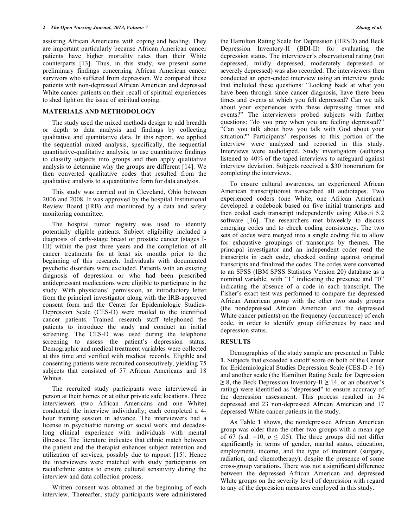assisting African Americans with coping and healing. They are important particularly because African American cancer patients have higher mortality rates than their White counterparts [13]. Thus, in this study, we present some preliminary findings concerning African American cancer survivors who suffered from depression. We compared these patients with non-depressed African American and depressed White cancer patients on their recall of spiritual experiences to shed light on the issue of spiritual coping.

### **MATERIALS AND METHODOLOGY**

 The study used the mixed methods design to add breadth or depth to data analysis and findings by collecting qualitative and quantitative data. In this report, we applied the sequential mixed analysis, specifically, the sequential quantitative-qualitative analysis, to use quantitative findings to classify subjects into groups and then apply qualitative analysis to determine why the groups are different [14]. We then converted qualitative codes that resulted from the qualitative analysis to a quantitative form for data analysis.

 This study was carried out in Cleveland, Ohio between 2006 and 2008. It was approved by the hospital Institutional Review Board (IRB) and monitored by a data and safety monitoring committee.

 The hospital tumor registry was used to identify potentially eligible patients. Subject eligibility included a diagnosis of early-stage breast or prostate cancer (stages I-III) within the past three years and the completion of all cancer treatments for at least six months prior to the beginning of this research. Individuals with documented psychotic disorders were excluded. Patients with an existing diagnosis of depression or who had been prescribed antidepressant medications were eligible to participate in the study. With physicians' permission, an introductory letter from the principal investigator along with the IRB-approved consent form and the Center for Epidemiologic Studies-Depression Scale (CES-D) were mailed to the identified cancer patients. Trained research staff telephoned the patients to introduce the study and conduct an initial screening. The CES-D was used during the telephone screening to assess the patient's depression status. Demographic and medical treatment variables were collected at this time and verified with medical records. Eligible and consenting patients were recruited consecutively, yielding 75 subjects that consisted of 57 African Americans and 18 Whites.

 The recruited study participants were interviewed in person at their homes or at other private safe locations. Three interviewers (two African Americans and one White) conducted the interview individually; each completed a 4 hour training session in advance. The interviewers had a license in psychiatric nursing or social work and decadeslong clinical experience with individuals with mental illnesses. The literature indicates that ethnic match between the patient and the therapist enhances subject retention and utilization of services, possibly due to rapport [15]. Hence the interviewers were matched with study participants on racial/ethnic status to ensure cultural sensitivity during the interview and data collection process.

 Written consent was obtained at the beginning of each interview. Thereafter, study participants were administered the Hamilton Rating Scale for Depression (HRSD) and Beck Depression Inventory-II (BDI-II) for evaluating the depression status. The interviewer's observational rating (not depressed, mildly depressed, moderately depressed or severely depressed) was also recorded. The interviewers then conducted an open-ended interview using an interview guide that included these questions: "Looking back at what you have been through since cancer diagnosis, have there been times and events at which you felt depressed? Can we talk about your experiences with these depressing times and events?" The interviewers probed subjects with further questions: "do you pray when you are feeling depressed?" "Can you talk about how you talk with God about your situation?" Participants' responses to this portion of the interview were analyzed and reported in this study. Interviews were audiotaped. Study investigators (authors) listened to 40% of the taped interviews to safeguard against interview deviation. Subjects received a \$30 honorarium for completing the interviews.

 To ensure cultural awareness, an experienced African American transcriptionist transcribed all audiotapes. Two experienced coders (one White, one African American) developed a codebook based on five initial transcripts and then coded each transcript independently using Atlas.ti 5.2 software [16]. The researchers met biweekly to discuss emerging codes and to check coding consistency. The two sets of codes were merged into a single coding file to allow for exhaustive groupings of transcripts by themes. The principal investigator and an independent coder read the transcripts in each code, checked coding against original transcripts and finalized the codes. The codes were converted to an SPSS (IBM SPSS Statistics Version 20) database as a nominal variable, with "1" indicating the presence and "0" indicating the absence of a code in each transcript. The Fisher's exact test was performed to compare the depressed African American group with the other two study groups (the nondepressed African American and the depressed White cancer patients) on the frequency (occurrence) of each code, in order to identify group differences by race and depression status.

## **RESULTS**

 Demographics of the study sample are presented in Table **1**. Subjects that exceeded a cutoff score on both of the Center for Epidemiological Studies Depression Scale (CES- $D \ge 16$ ) and another scale (the Hamilton Rating Scale for Depression  $\geq$  8, the Beck Depression Inventory-II  $\geq$  14, or an observer's rating) were identified as "depressed" to ensure accuracy of the depression assessment. This process resulted in 34 depressed and 23 non-depressed African American and 17 depressed White cancer patients in the study.

 As Table **1** shows, the nondepressed African American group was older than the other two groups with a mean age of 67 (s.d. =10,  $p \leq .05$ ). The three groups did not differ significantly in terms of gender, marital status, education, employment, income, and the type of treatment (surgery, radiation, and chemotherapy), despite the presence of some cross-group variations. There was not a significant difference between the depressed African American and depressed White groups on the severity level of depression with regard to any of the depression measures employed in this study.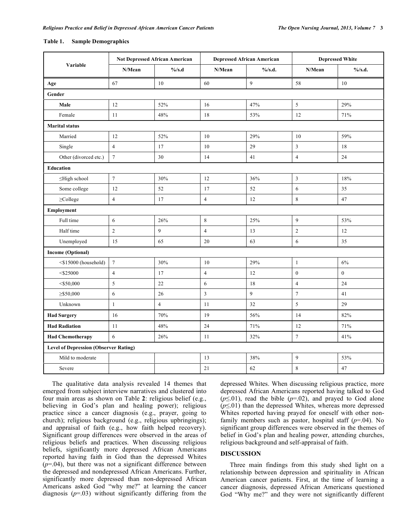## **Table 1. Sample Demographics**

| Variable                                     | <b>Not Depressed African American</b> |                | <b>Depressed African American</b> |            | <b>Depressed White</b> |                  |  |  |
|----------------------------------------------|---------------------------------------|----------------|-----------------------------------|------------|------------------------|------------------|--|--|
|                                              | N/Mean                                | $\%$ /s.d      | N/Mean                            | $\%$ /s.d. | N/Mean                 | $\%$ /s.d.       |  |  |
| Age                                          | 67                                    | $10\,$         | 60                                | 9          | 58                     | 10               |  |  |
| Gender                                       |                                       |                |                                   |            |                        |                  |  |  |
| Male                                         | 12                                    | 52%            | 16                                | 47%        | $\sqrt{5}$             | 29%              |  |  |
| Female                                       | 11                                    | 48%            | 18                                | 53%        | 12                     | 71%              |  |  |
| <b>Marital status</b>                        |                                       |                |                                   |            |                        |                  |  |  |
| Married                                      | 12                                    | 52%            | 10                                | 29%        | 10                     | 59%              |  |  |
| Single                                       | $\overline{4}$                        | 17             | 10                                | 29         | 3                      | 18               |  |  |
| Other (divorced etc.)                        | $7\phantom{.0}$                       | 30             | 14                                | 41         | $\overline{4}$         | 24               |  |  |
| <b>Education</b>                             |                                       |                |                                   |            |                        |                  |  |  |
| ≤High school                                 | $\boldsymbol{7}$                      | 30%            | 12                                | 36%        | $\mathfrak z$          | 18%              |  |  |
| Some college                                 | 12                                    | 52             | 17                                | 52         | 6                      | 35               |  |  |
| $\geq$ College                               | $\overline{4}$                        | 17             | $\overline{4}$                    | 12         | 8                      | 47               |  |  |
| Employment                                   |                                       |                |                                   |            |                        |                  |  |  |
| Full time                                    | 6                                     | 26%            | $\,8\,$                           | 25%        | 9                      | 53%              |  |  |
| Half time                                    | $\sqrt{2}$                            | 9              | $\overline{4}$                    | 13         | $\overline{c}$         | 12               |  |  |
| Unemployed                                   | 15                                    | 65             | 20                                | 63         | 6                      | 35               |  |  |
| <b>Income (Optional)</b>                     |                                       |                |                                   |            |                        |                  |  |  |
| <\$15000 (household)                         | $\overline{7}$                        | 30%            | 10                                | 29%        | $\mathbf{1}$           | 6%               |  |  |
| $<$ \$25000                                  | $\overline{4}$                        | 17             | $\overline{4}$                    | 12         | $\boldsymbol{0}$       | $\boldsymbol{0}$ |  |  |
| $<$ \$50,000                                 | 5                                     | 22             | 6                                 | 18         | $\overline{4}$         | 24               |  |  |
| $\geq$ \$50,000                              | 6                                     | 26             | 3                                 | 9          | $\boldsymbol{7}$       | 41               |  |  |
| Unknown                                      | $\mathbf{1}$                          | $\overline{4}$ | 11                                | 32         | 5                      | 29               |  |  |
| <b>Had Surgery</b>                           | 16                                    | 70%            | 19                                | 56%        | 14                     | 82%              |  |  |
| <b>Had Radiation</b>                         | 11                                    | $48\%$         | 24                                | $71\%$     | 12                     | 71%              |  |  |
| <b>Had Chemotherapy</b>                      | 6                                     | 26%            | 11                                | 32%        | $\tau$                 | 41%              |  |  |
| <b>Level of Depression (Observer Rating)</b> |                                       |                |                                   |            |                        |                  |  |  |
| Mild to moderate                             |                                       |                | 13                                | 38%        | 9                      | 53%              |  |  |
| Severe                                       |                                       |                | 21                                | 62         | 8                      | 47               |  |  |

 The qualitative data analysis revealed 14 themes that emerged from subject interview narratives and clustered into four main areas as shown on Table **2**: religious belief (e.g., believing in God's plan and healing power); religious practice since a cancer diagnosis (e.g., prayer, going to church); religious background (e.g., religious upbringings); and appraisal of faith (e.g., how faith helped recovery). Significant group differences were observed in the areas of religious beliefs and practices. When discussing religious beliefs, significantly more depressed African Americans reported having faith in God than the depressed Whites (*p*=.04), but there was not a significant difference between the depressed and nondepressed African Americans. Further, significantly more depressed than non-depressed African Americans asked God "why me?" at learning the cancer diagnosis (*p*=.03) without significantly differing from the

depressed Whites. When discussing religious practice, more depressed African Americans reported having talked to God  $(p \le 01)$ , read the bible  $(p=02)$ , and prayed to God alone  $(p \le 01)$  than the depressed Whites, whereas more depressed Whites reported having prayed for oneself with other nonfamily members such as pastor, hospital staff (*p*=.04). No significant group differences were observed in the themes of belief in God's plan and healing power, attending churches, religious background and self-appraisal of faith.

## **DISCUSSION**

 Three main findings from this study shed light on a relationship between depression and spirituality in African American cancer patients. First, at the time of learning a cancer diagnosis, depressed African Americans questioned God "Why me?" and they were not significantly different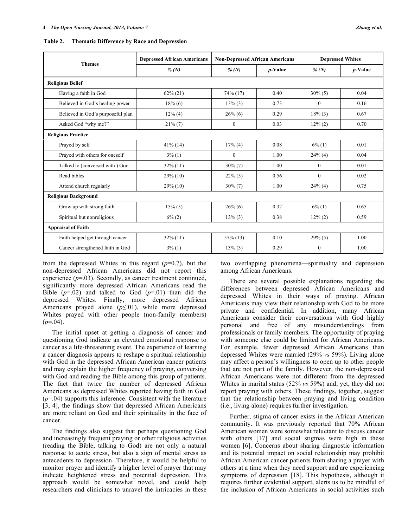**Table 2. Thematic Difference by Race and Depression** 

| <b>Themes</b>                     | <b>Depressed African Americans</b> | <b>Non-Depressed African Americans</b> |            | <b>Depressed Whites</b> |            |  |  |  |
|-----------------------------------|------------------------------------|----------------------------------------|------------|-------------------------|------------|--|--|--|
|                                   | % $(N)$                            | % $(N)$                                | $p$ -Value | % $(N)$                 | $p$ -Value |  |  |  |
| <b>Religious Belief</b>           |                                    |                                        |            |                         |            |  |  |  |
| Having a faith in God             | $62\% (21)$                        | $74\%$ (17)                            | 0.40       | $30\% (5)$              | 0.04       |  |  |  |
| Believed in God's healing power   | $18\%$ (6)                         | $13\%$ (3)                             | 0.73       | $\Omega$                | 0.16       |  |  |  |
| Believed in God's purposeful plan | $12\%$ (4)                         | $26\%$ (6)                             | 0.29       | $18\%$ (3)              | 0.67       |  |  |  |
| Asked God "why me?"               | $21\%$ (7)                         | $\Omega$                               | 0.03       | $12\% (2)$              | 0.70       |  |  |  |
| <b>Religious Practice</b>         |                                    |                                        |            |                         |            |  |  |  |
| Prayed by self                    | $41\%$ (14)                        | 17% (4)                                | 0.08       | $6\%$ (1)               | 0.01       |  |  |  |
| Prayed with others for oneself    | $3\%$ (1)                          | $\mathbf{0}$                           | 1.00       | $24\%$ (4)              | 0.04       |  |  |  |
| Talked to (conversed with) God    | $32\%$ (11)                        | $30\% (7)$                             | 1.00       | $\mathbf{0}$            | 0.01       |  |  |  |
| Read bibles                       | $29\%$ (10)                        | $22\%$ (5)                             | 0.56       | $\mathbf{0}$            | 0.02       |  |  |  |
| Attend church regularly           | $29\%$ (10)                        | $30\% (7)$                             | 1.00       | $24\%$ (4)              | 0.75       |  |  |  |
| <b>Religious Background</b>       |                                    |                                        |            |                         |            |  |  |  |
| Grow up with strong faith         | $15\%$ (5)                         | $26\%$ (6)                             | 0.32       | $6\%$ (1)               | 0.65       |  |  |  |
| Spiritual but nonreligious        | $6\%$ (2)                          | $13\%$ (3)                             | 0.38       | $12\% (2)$              | 0.59       |  |  |  |
| <b>Appraisal of Faith</b>         |                                    |                                        |            |                         |            |  |  |  |
| Faith helped get through cancer   | $32\%$ (11)                        | $57\%$ (13)                            | 0.10       | $29\%$ (5)              | 1.00       |  |  |  |
| Cancer strengthened faith in God  | $3\%$ (1)                          | $13\%$ (3)                             | 0.29       | $\mathbf{0}$            | 1.00       |  |  |  |

from the depressed Whites in this regard (*p*=0.7), but the non-depressed African Americans did not report this experience  $(p=03)$ . Secondly, as cancer treatment continued, significantly more depressed African Americans read the Bible  $(p=0.02)$  and talked to God  $(p=0.01)$  than did the depressed Whites. Finally, more depressed African Americans prayed alone  $(p \le 01)$ , while more depressed Whites prayed with other people (non-family members)  $(p=0.04)$ .

 The initial upset at getting a diagnosis of cancer and questioning God indicate an elevated emotional response to cancer as a life-threatening event. The experience of learning a cancer diagnosis appears to reshape a spiritual relationship with God in the depressed African American cancer patients and may explain the higher frequency of praying, conversing with God and reading the Bible among this group of patients. The fact that twice the number of depressed African Americans as depressed Whites reported having faith in God (*p*=.04) supports this inference. Consistent with the literature [3, 4], the findings show that depressed African Americans are more reliant on God and their spirituality in the face of cancer.

 The findings also suggest that perhaps questioning God and increasingly frequent praying or other religious activities (reading the Bible, talking to God) are not only a natural response to acute stress, but also a sign of mental stress as antecedents to depression. Therefore, it would be helpful to monitor prayer and identify a higher level of prayer that may indicate heightened stress and potential depression. This approach would be somewhat novel, and could help researchers and clinicians to unravel the intricacies in these

two overlapping phenomena—spirituality and depression among African Americans.

 There are several possible explanations regarding the differences between depressed African Americans and depressed Whites in their ways of praying. African Americans may view their relationship with God to be more private and confidential. In addition, many African Americans consider their conversations with God highly personal and free of any misunderstandings from professionals or family members. The opportunity of praying with someone else could be limited for African Americans. For example, fewer depressed African Americans than depressed Whites were married (29% *vs* 59%). Living alone may affect a person's willingness to open up to other people that are not part of the family. However, the non-depressed African Americans were not different from the depressed Whites in marital status (52% *vs* 59%) and, yet, they did not report praying with others. These findings, together, suggest that the relationship between praying and living condition (i.e., living alone) requires further investigation.

 Further, stigma of cancer exists in the African American community. It was previously reported that 70% African American women were somewhat reluctant to discuss cancer with others [17] and social stigmas were high in these women [6]. Concerns about sharing diagnostic information and its potential impact on social relationship may prohibit African American cancer patients from sharing a prayer with others at a time when they need support and are experiencing symptoms of depression [18]. This hypothesis, although it requires further evidential support, alerts us to be mindful of the inclusion of African Americans in social activities such